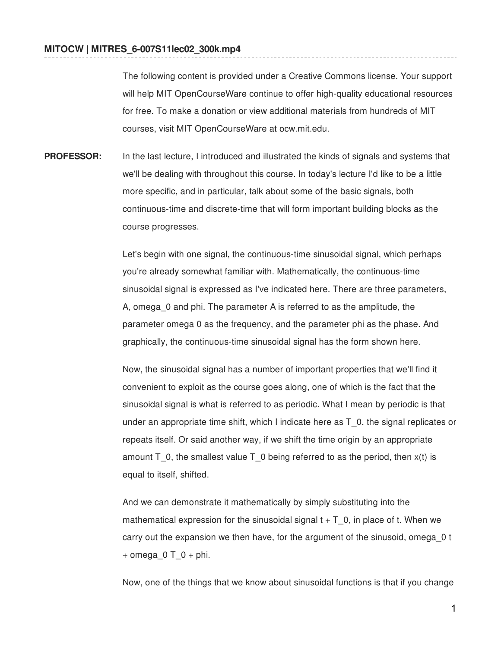The following content is provided under a Creative Commons license. Your support will help MIT OpenCourseWare continue to offer high-quality educational resources for free. To make a donation or view additional materials from hundreds of MIT courses, visit MIT OpenCourseWare at ocw.mit.edu.

**PROFESSOR:** In the last lecture, I introduced and illustrated the kinds of signals and systems that we'll be dealing with throughout this course. In today's lecture I'd like to be a little more specific, and in particular, talk about some of the basic signals, both continuous-time and discrete-time that will form important building blocks as the course progresses.

> Let's begin with one signal, the continuous-time sinusoidal signal, which perhaps you're already somewhat familiar with. Mathematically, the continuous-time sinusoidal signal is expressed as I've indicated here. There are three parameters, A, omega\_0 and phi. The parameter A is referred to as the amplitude, the parameter omega 0 as the frequency, and the parameter phi as the phase. And graphically, the continuous-time sinusoidal signal has the form shown here.

Now, the sinusoidal signal has a number of important properties that we'll find it convenient to exploit as the course goes along, one of which is the fact that the sinusoidal signal is what is referred to as periodic. What I mean by periodic is that under an appropriate time shift, which I indicate here as T\_0, the signal replicates or repeats itself. Or said another way, if we shift the time origin by an appropriate amount  $T_0$ , the smallest value  $T_0$  being referred to as the period, then  $x(t)$  is equal to itself, shifted.

And we can demonstrate it mathematically by simply substituting into the mathematical expression for the sinusoidal signal  $t + T$  0, in place of t. When we carry out the expansion we then have, for the argument of the sinusoid, omega\_0 t + omega $0 \top 0 +$  phi.

Now, one of the things that we know about sinusoidal functions is that if you change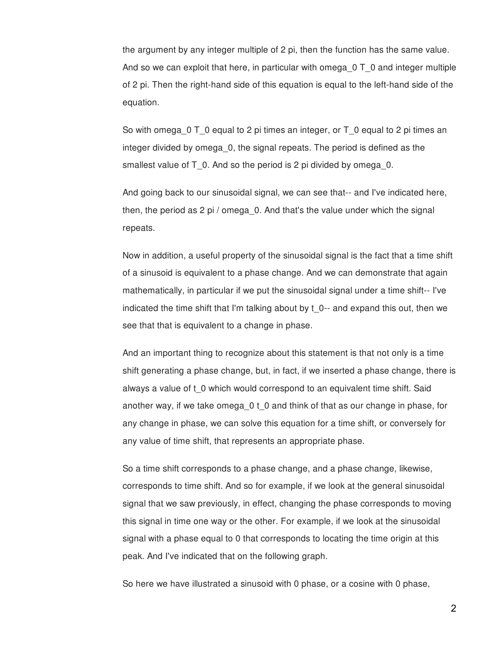the argument by any integer multiple of 2 pi, then the function has the same value. And so we can exploit that here, in particular with omega\_0 T\_0 and integer multiple of 2 pi. Then the right-hand side of this equation is equal to the left-hand side of the equation.

So with omega\_0 T\_0 equal to 2 pi times an integer, or T\_0 equal to 2 pi times an integer divided by omega\_0, the signal repeats. The period is defined as the smallest value of T\_0. And so the period is 2 pi divided by omega\_0.

And going back to our sinusoidal signal, we can see that-- and I've indicated here, then, the period as 2 pi / omega\_0. And that's the value under which the signal repeats.

Now in addition, a useful property of the sinusoidal signal is the fact that a time shift of a sinusoid is equivalent to a phase change. And we can demonstrate that again mathematically, in particular if we put the sinusoidal signal under a time shift-- I've indicated the time shift that I'm talking about by  $t$  0-- and expand this out, then we see that that is equivalent to a change in phase.

And an important thing to recognize about this statement is that not only is a time shift generating a phase change, but, in fact, if we inserted a phase change, there is always a value of t\_0 which would correspond to an equivalent time shift. Said another way, if we take omega\_0 t\_0 and think of that as our change in phase, for any change in phase, we can solve this equation for a time shift, or conversely for any value of time shift, that represents an appropriate phase.

So a time shift corresponds to a phase change, and a phase change, likewise, corresponds to time shift. And so for example, if we look at the general sinusoidal signal that we saw previously, in effect, changing the phase corresponds to moving this signal in time one way or the other. For example, if we look at the sinusoidal signal with a phase equal to 0 that corresponds to locating the time origin at this peak. And I've indicated that on the following graph.

So here we have illustrated a sinusoid with 0 phase, or a cosine with 0 phase,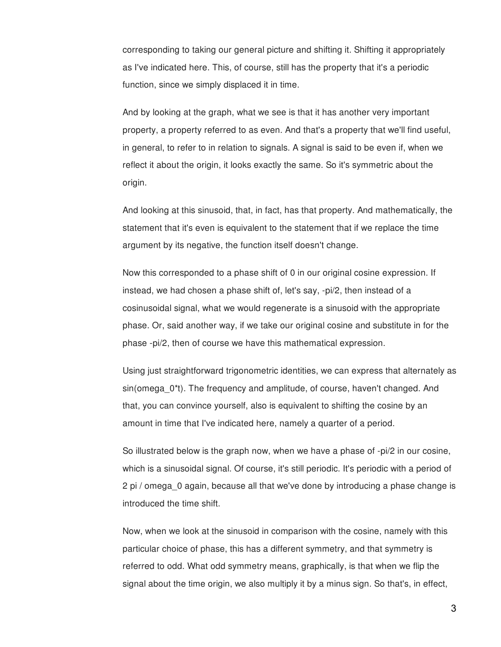corresponding to taking our general picture and shifting it. Shifting it appropriately as I've indicated here. This, of course, still has the property that it's a periodic function, since we simply displaced it in time.

And by looking at the graph, what we see is that it has another very important property, a property referred to as even. And that's a property that we'll find useful, in general, to refer to in relation to signals. A signal is said to be even if, when we reflect it about the origin, it looks exactly the same. So it's symmetric about the origin.

And looking at this sinusoid, that, in fact, has that property. And mathematically, the statement that it's even is equivalent to the statement that if we replace the time argument by its negative, the function itself doesn't change.

Now this corresponded to a phase shift of 0 in our original cosine expression. If instead, we had chosen a phase shift of, let's say, -pi/2, then instead of a cosinusoidal signal, what we would regenerate is a sinusoid with the appropriate phase. Or, said another way, if we take our original cosine and substitute in for the phase -pi/2, then of course we have this mathematical expression.

Using just straightforward trigonometric identities, we can express that alternately as sin(omega\_0\*t). The frequency and amplitude, of course, haven't changed. And that, you can convince yourself, also is equivalent to shifting the cosine by an amount in time that I've indicated here, namely a quarter of a period.

So illustrated below is the graph now, when we have a phase of -pi/2 in our cosine, which is a sinusoidal signal. Of course, it's still periodic. It's periodic with a period of 2 pi / omega\_0 again, because all that we've done by introducing a phase change is introduced the time shift.

Now, when we look at the sinusoid in comparison with the cosine, namely with this particular choice of phase, this has a different symmetry, and that symmetry is referred to odd. What odd symmetry means, graphically, is that when we flip the signal about the time origin, we also multiply it by a minus sign. So that's, in effect,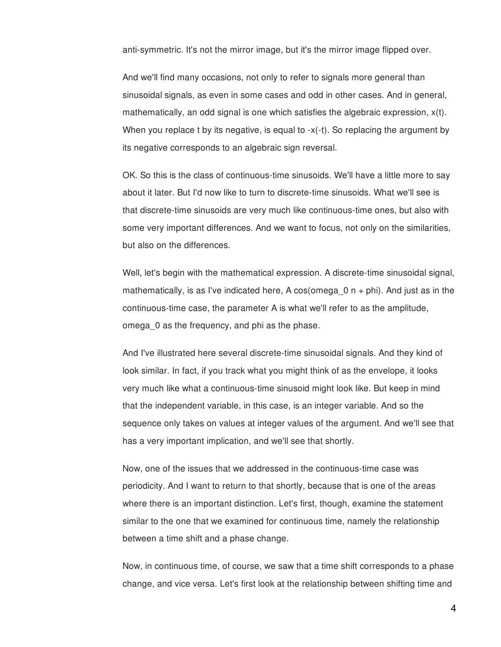anti-symmetric. It's not the mirror image, but it's the mirror image flipped over.

And we'll find many occasions, not only to refer to signals more general than sinusoidal signals, as even in some cases and odd in other cases. And in general, mathematically, an odd signal is one which satisfies the algebraic expression,  $x(t)$ . When you replace t by its negative, is equal to -x(-t). So replacing the argument by its negative corresponds to an algebraic sign reversal.

OK. So this is the class of continuous-time sinusoids. We'll have a little more to say about it later. But I'd now like to turn to discrete-time sinusoids. What we'll see is that discrete-time sinusoids are very much like continuous-time ones, but also with some very important differences. And we want to focus, not only on the similarities, but also on the differences.

Well, let's begin with the mathematical expression. A discrete-time sinusoidal signal, mathematically, is as I've indicated here, A cos(omega  $0$  n + phi). And just as in the continuous-time case, the parameter A is what we'll refer to as the amplitude, omega\_0 as the frequency, and phi as the phase.

And I've illustrated here several discrete-time sinusoidal signals. And they kind of look similar. In fact, if you track what you might think of as the envelope, it looks very much like what a continuous-time sinusoid might look like. But keep in mind that the independent variable, in this case, is an integer variable. And so the sequence only takes on values at integer values of the argument. And we'll see that has a very important implication, and we'll see that shortly.

Now, one of the issues that we addressed in the continuous-time case was periodicity. And I want to return to that shortly, because that is one of the areas where there is an important distinction. Let's first, though, examine the statement similar to the one that we examined for continuous time, namely the relationship between a time shift and a phase change.

Now, in continuous time, of course, we saw that a time shift corresponds to a phase change, and vice versa. Let's first look at the relationship between shifting time and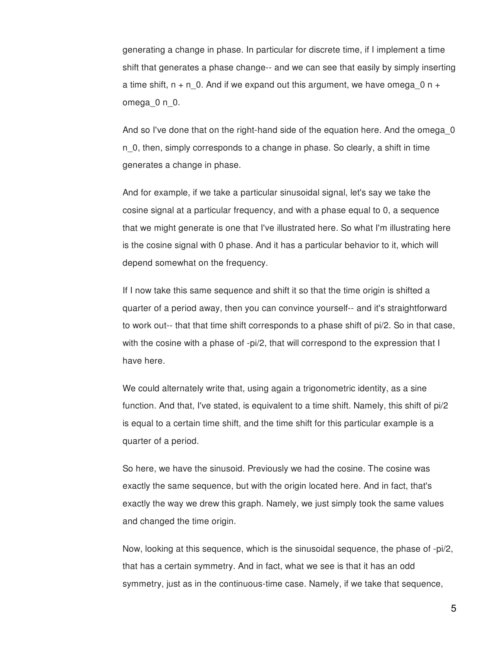generating a change in phase. In particular for discrete time, if I implement a time shift that generates a phase change-- and we can see that easily by simply inserting a time shift,  $n + n_0$ . And if we expand out this argument, we have omega $0$  n + omega\_0 n\_0.

And so I've done that on the right-hand side of the equation here. And the omega\_0 n\_0, then, simply corresponds to a change in phase. So clearly, a shift in time generates a change in phase.

And for example, if we take a particular sinusoidal signal, let's say we take the cosine signal at a particular frequency, and with a phase equal to 0, a sequence that we might generate is one that I've illustrated here. So what I'm illustrating here is the cosine signal with 0 phase. And it has a particular behavior to it, which will depend somewhat on the frequency.

If I now take this same sequence and shift it so that the time origin is shifted a quarter of a period away, then you can convince yourself-- and it's straightforward to work out-- that that time shift corresponds to a phase shift of pi/2. So in that case, with the cosine with a phase of -pi/2, that will correspond to the expression that I have here.

We could alternately write that, using again a trigonometric identity, as a sine function. And that, I've stated, is equivalent to a time shift. Namely, this shift of pi/2 is equal to a certain time shift, and the time shift for this particular example is a quarter of a period.

So here, we have the sinusoid. Previously we had the cosine. The cosine was exactly the same sequence, but with the origin located here. And in fact, that's exactly the way we drew this graph. Namely, we just simply took the same values and changed the time origin.

Now, looking at this sequence, which is the sinusoidal sequence, the phase of -pi/2, that has a certain symmetry. And in fact, what we see is that it has an odd symmetry, just as in the continuous-time case. Namely, if we take that sequence,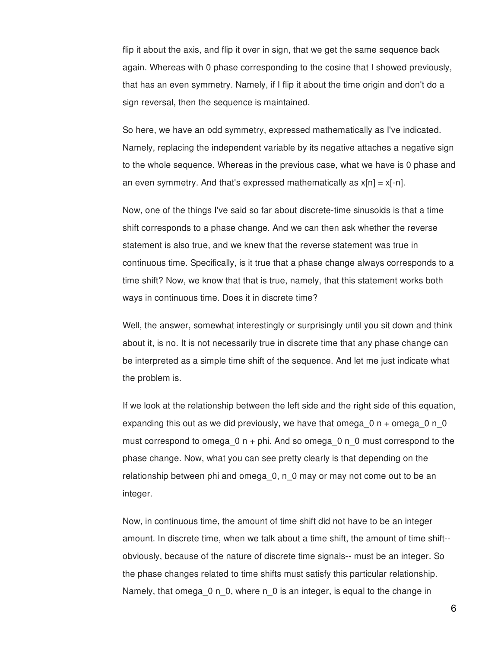flip it about the axis, and flip it over in sign, that we get the same sequence back again. Whereas with 0 phase corresponding to the cosine that I showed previously, that has an even symmetry. Namely, if I flip it about the time origin and don't do a sign reversal, then the sequence is maintained.

So here, we have an odd symmetry, expressed mathematically as I've indicated. Namely, replacing the independent variable by its negative attaches a negative sign to the whole sequence. Whereas in the previous case, what we have is 0 phase and an even symmetry. And that's expressed mathematically as  $x[n] = x[-n]$ .

Now, one of the things I've said so far about discrete-time sinusoids is that a time shift corresponds to a phase change. And we can then ask whether the reverse statement is also true, and we knew that the reverse statement was true in continuous time. Specifically, is it true that a phase change always corresponds to a time shift? Now, we know that that is true, namely, that this statement works both ways in continuous time. Does it in discrete time?

Well, the answer, somewhat interestingly or surprisingly until you sit down and think about it, is no. It is not necessarily true in discrete time that any phase change can be interpreted as a simple time shift of the sequence. And let me just indicate what the problem is.

If we look at the relationship between the left side and the right side of this equation, expanding this out as we did previously, we have that omega  $0 n +$  omega  $0 n_0$ must correspond to omega\_0 n + phi. And so omega\_0 n\_0 must correspond to the phase change. Now, what you can see pretty clearly is that depending on the relationship between phi and omega\_0, n\_0 may or may not come out to be an integer.

Now, in continuous time, the amount of time shift did not have to be an integer amount. In discrete time, when we talk about a time shift, the amount of time shift- obviously, because of the nature of discrete time signals-- must be an integer. So the phase changes related to time shifts must satisfy this particular relationship. Namely, that omega\_0 n\_0, where n\_0 is an integer, is equal to the change in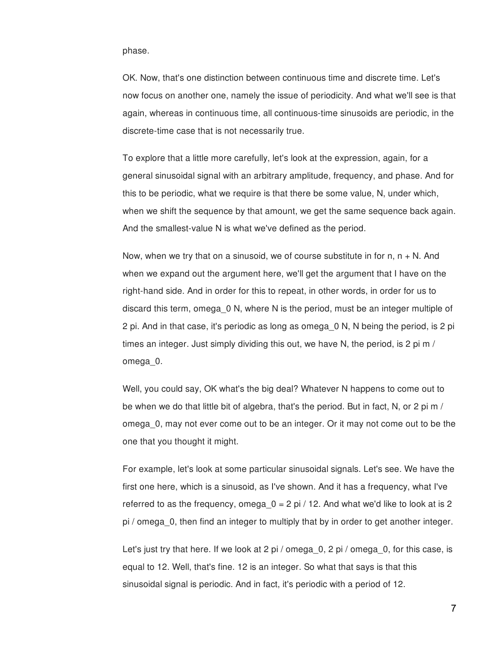phase.

OK. Now, that's one distinction between continuous time and discrete time. Let's now focus on another one, namely the issue of periodicity. And what we'll see is that again, whereas in continuous time, all continuous-time sinusoids are periodic, in the discrete-time case that is not necessarily true.

To explore that a little more carefully, let's look at the expression, again, for a general sinusoidal signal with an arbitrary amplitude, frequency, and phase. And for this to be periodic, what we require is that there be some value, N, under which, when we shift the sequence by that amount, we get the same sequence back again. And the smallest-value N is what we've defined as the period.

Now, when we try that on a sinusoid, we of course substitute in for  $n, n + N$ . And when we expand out the argument here, we'll get the argument that I have on the right-hand side. And in order for this to repeat, in other words, in order for us to discard this term, omega\_0 N, where N is the period, must be an integer multiple of 2 pi. And in that case, it's periodic as long as omega\_0 N, N being the period, is 2 pi times an integer. Just simply dividing this out, we have N, the period, is 2 pi m / omega\_0.

Well, you could say, OK what's the big deal? Whatever N happens to come out to be when we do that little bit of algebra, that's the period. But in fact, N, or 2 pi m / omega\_0, may not ever come out to be an integer. Or it may not come out to be the one that you thought it might.

For example, let's look at some particular sinusoidal signals. Let's see. We have the first one here, which is a sinusoid, as I've shown. And it has a frequency, what I've referred to as the frequency, omega  $0 = 2$  pi / 12. And what we'd like to look at is 2 pi / omega\_0, then find an integer to multiply that by in order to get another integer.

Let's just try that here. If we look at 2 pi / omega  $0, 2$  pi / omega  $0,$  for this case, is equal to 12. Well, that's fine. 12 is an integer. So what that says is that this sinusoidal signal is periodic. And in fact, it's periodic with a period of 12.

7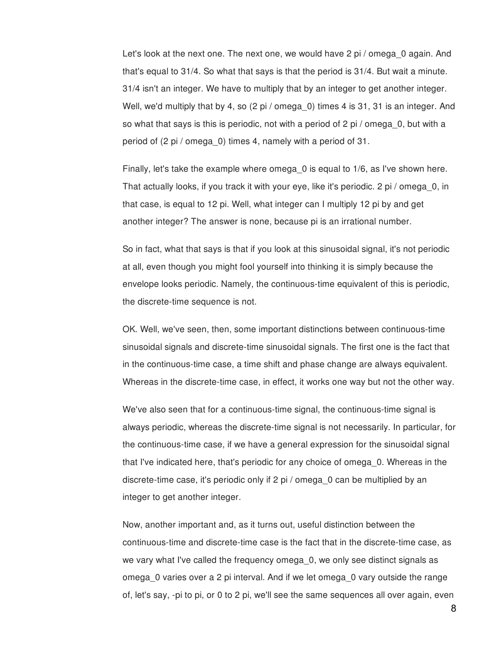Let's look at the next one. The next one, we would have 2 pi / omega\_0 again. And that's equal to 31/4. So what that says is that the period is 31/4. But wait a minute. 31/4 isn't an integer. We have to multiply that by an integer to get another integer. Well, we'd multiply that by 4, so (2 pi / omega 0) times 4 is 31, 31 is an integer. And so what that says is this is periodic, not with a period of 2 pi / omega\_0, but with a period of (2 pi / omega\_0) times 4, namely with a period of 31.

Finally, let's take the example where omega\_0 is equal to 1/6, as I've shown here. That actually looks, if you track it with your eye, like it's periodic. 2 pi / omega\_0, in that case, is equal to 12 pi. Well, what integer can I multiply 12 pi by and get another integer? The answer is none, because pi is an irrational number.

So in fact, what that says is that if you look at this sinusoidal signal, it's not periodic at all, even though you might fool yourself into thinking it is simply because the envelope looks periodic. Namely, the continuous-time equivalent of this is periodic, the discrete-time sequence is not.

OK. Well, we've seen, then, some important distinctions between continuous-time sinusoidal signals and discrete-time sinusoidal signals. The first one is the fact that in the continuous-time case, a time shift and phase change are always equivalent. Whereas in the discrete-time case, in effect, it works one way but not the other way.

We've also seen that for a continuous-time signal, the continuous-time signal is always periodic, whereas the discrete-time signal is not necessarily. In particular, for the continuous-time case, if we have a general expression for the sinusoidal signal that I've indicated here, that's periodic for any choice of omega\_0. Whereas in the discrete-time case, it's periodic only if 2 pi / omega\_0 can be multiplied by an integer to get another integer.

Now, another important and, as it turns out, useful distinction between the continuous-time and discrete-time case is the fact that in the discrete-time case, as we vary what I've called the frequency omega\_0, we only see distinct signals as omega\_0 varies over a 2 pi interval. And if we let omega\_0 vary outside the range of, let's say, -pi to pi, or 0 to 2 pi, we'll see the same sequences all over again, even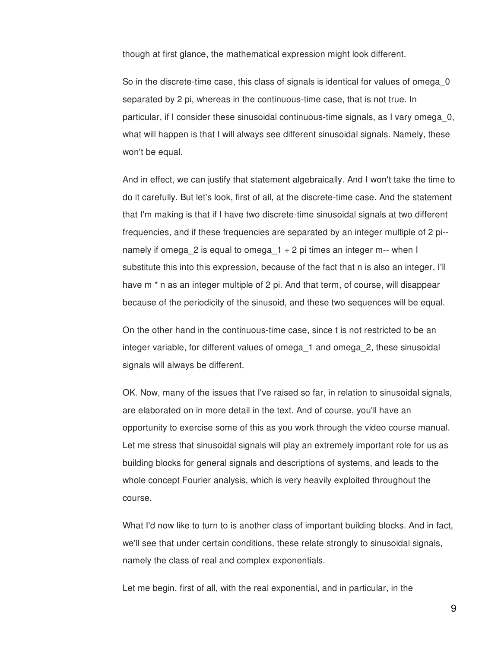though at first glance, the mathematical expression might look different.

So in the discrete-time case, this class of signals is identical for values of omega\_0 separated by 2 pi, whereas in the continuous-time case, that is not true. In particular, if I consider these sinusoidal continuous-time signals, as I vary omega\_0, what will happen is that I will always see different sinusoidal signals. Namely, these won't be equal.

And in effect, we can justify that statement algebraically. And I won't take the time to do it carefully. But let's look, first of all, at the discrete-time case. And the statement that I'm making is that if I have two discrete-time sinusoidal signals at two different frequencies, and if these frequencies are separated by an integer multiple of 2 pi- namely if omega 2 is equal to omega  $1 + 2$  pi times an integer m-- when I substitute this into this expression, because of the fact that n is also an integer, I'll have m<sup>\*</sup> n as an integer multiple of 2 pi. And that term, of course, will disappear because of the periodicity of the sinusoid, and these two sequences will be equal.

On the other hand in the continuous-time case, since t is not restricted to be an integer variable, for different values of omega\_1 and omega\_2, these sinusoidal signals will always be different.

OK. Now, many of the issues that I've raised so far, in relation to sinusoidal signals, are elaborated on in more detail in the text. And of course, you'll have an opportunity to exercise some of this as you work through the video course manual. Let me stress that sinusoidal signals will play an extremely important role for us as building blocks for general signals and descriptions of systems, and leads to the whole concept Fourier analysis, which is very heavily exploited throughout the course.

What I'd now like to turn to is another class of important building blocks. And in fact, we'll see that under certain conditions, these relate strongly to sinusoidal signals, namely the class of real and complex exponentials.

Let me begin, first of all, with the real exponential, and in particular, in the

9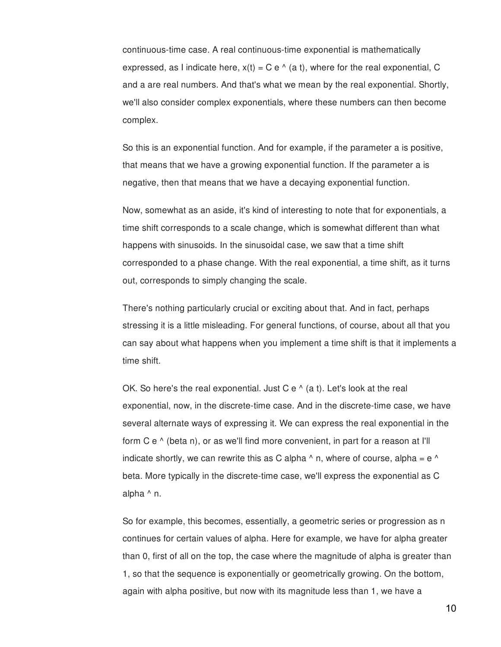continuous-time case. A real continuous-time exponential is mathematically expressed, as I indicate here,  $x(t) = C e^{\Lambda}$  (a t), where for the real exponential, C and a are real numbers. And that's what we mean by the real exponential. Shortly, we'll also consider complex exponentials, where these numbers can then become complex.

So this is an exponential function. And for example, if the parameter a is positive, that means that we have a growing exponential function. If the parameter a is negative, then that means that we have a decaying exponential function.

Now, somewhat as an aside, it's kind of interesting to note that for exponentials, a time shift corresponds to a scale change, which is somewhat different than what happens with sinusoids. In the sinusoidal case, we saw that a time shift corresponded to a phase change. With the real exponential, a time shift, as it turns out, corresponds to simply changing the scale.

There's nothing particularly crucial or exciting about that. And in fact, perhaps stressing it is a little misleading. For general functions, of course, about all that you can say about what happens when you implement a time shift is that it implements a time shift.

OK. So here's the real exponential. Just C e  $\land$  (a t). Let's look at the real exponential, now, in the discrete-time case. And in the discrete-time case, we have several alternate ways of expressing it. We can express the real exponential in the form C e ^ (beta n), or as we'll find more convenient, in part for a reason at I'll indicate shortly, we can rewrite this as C alpha  $\land$  n, where of course, alpha = e  $\land$ beta. More typically in the discrete-time case, we'll express the exponential as C alpha ^ n.

So for example, this becomes, essentially, a geometric series or progression as n continues for certain values of alpha. Here for example, we have for alpha greater than 0, first of all on the top, the case where the magnitude of alpha is greater than 1, so that the sequence is exponentially or geometrically growing. On the bottom, again with alpha positive, but now with its magnitude less than 1, we have a

10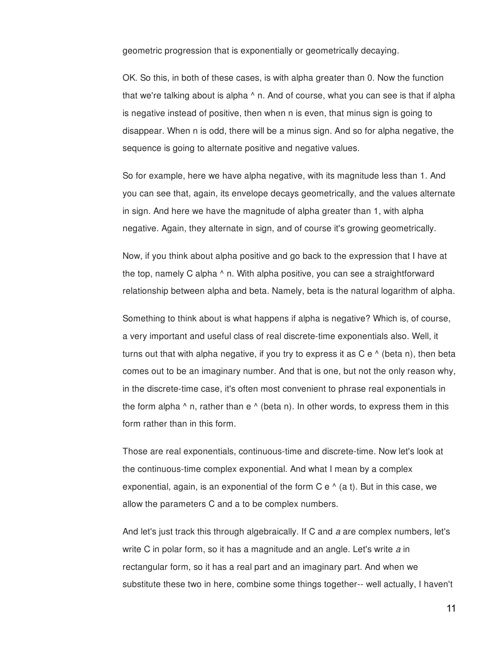geometric progression that is exponentially or geometrically decaying.

OK. So this, in both of these cases, is with alpha greater than 0. Now the function that we're talking about is alpha ^ n. And of course, what you can see is that if alpha is negative instead of positive, then when n is even, that minus sign is going to disappear. When n is odd, there will be a minus sign. And so for alpha negative, the sequence is going to alternate positive and negative values.

So for example, here we have alpha negative, with its magnitude less than 1. And you can see that, again, its envelope decays geometrically, and the values alternate in sign. And here we have the magnitude of alpha greater than 1, with alpha negative. Again, they alternate in sign, and of course it's growing geometrically.

Now, if you think about alpha positive and go back to the expression that I have at the top, namely C alpha ^ n. With alpha positive, you can see a straightforward relationship between alpha and beta. Namely, beta is the natural logarithm of alpha.

Something to think about is what happens if alpha is negative? Which is, of course, a very important and useful class of real discrete-time exponentials also. Well, it turns out that with alpha negative, if you try to express it as  $C e^{\Lambda}$  (beta n), then beta comes out to be an imaginary number. And that is one, but not the only reason why, in the discrete-time case, it's often most convenient to phrase real exponentials in the form alpha  $\wedge$  n, rather than e  $\wedge$  (beta n). In other words, to express them in this form rather than in this form.

Those are real exponentials, continuous-time and discrete-time. Now let's look at the continuous-time complex exponential. And what I mean by a complex exponential, again, is an exponential of the form  $C e^A$  (a t). But in this case, we allow the parameters C and a to be complex numbers.

And let's just track this through algebraically. If C and *a* are complex numbers, let's write C in polar form, so it has a magnitude and an angle. Let's write *a* in rectangular form, so it has a real part and an imaginary part. And when we substitute these two in here, combine some things together-- well actually, I haven't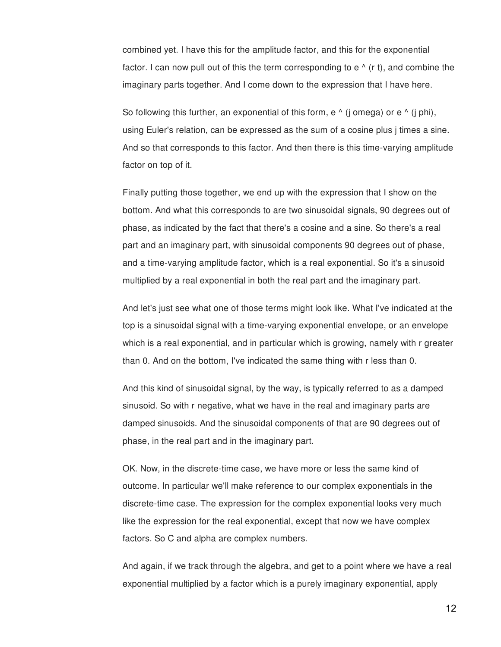combined yet. I have this for the amplitude factor, and this for the exponential factor. I can now pull out of this the term corresponding to  $e^A$  (r t), and combine the imaginary parts together. And I come down to the expression that I have here.

So following this further, an exponential of this form,  $e \wedge (i \text{ omega})$  or  $e \wedge (i \text{ phi})$ , using Euler's relation, can be expressed as the sum of a cosine plus j times a sine. And so that corresponds to this factor. And then there is this time-varying amplitude factor on top of it.

Finally putting those together, we end up with the expression that I show on the bottom. And what this corresponds to are two sinusoidal signals, 90 degrees out of phase, as indicated by the fact that there's a cosine and a sine. So there's a real part and an imaginary part, with sinusoidal components 90 degrees out of phase, and a time-varying amplitude factor, which is a real exponential. So it's a sinusoid multiplied by a real exponential in both the real part and the imaginary part.

And let's just see what one of those terms might look like. What I've indicated at the top is a sinusoidal signal with a time-varying exponential envelope, or an envelope which is a real exponential, and in particular which is growing, namely with r greater than 0. And on the bottom, I've indicated the same thing with r less than 0.

And this kind of sinusoidal signal, by the way, is typically referred to as a damped sinusoid. So with r negative, what we have in the real and imaginary parts are damped sinusoids. And the sinusoidal components of that are 90 degrees out of phase, in the real part and in the imaginary part.

OK. Now, in the discrete-time case, we have more or less the same kind of outcome. In particular we'll make reference to our complex exponentials in the discrete-time case. The expression for the complex exponential looks very much like the expression for the real exponential, except that now we have complex factors. So C and alpha are complex numbers.

And again, if we track through the algebra, and get to a point where we have a real exponential multiplied by a factor which is a purely imaginary exponential, apply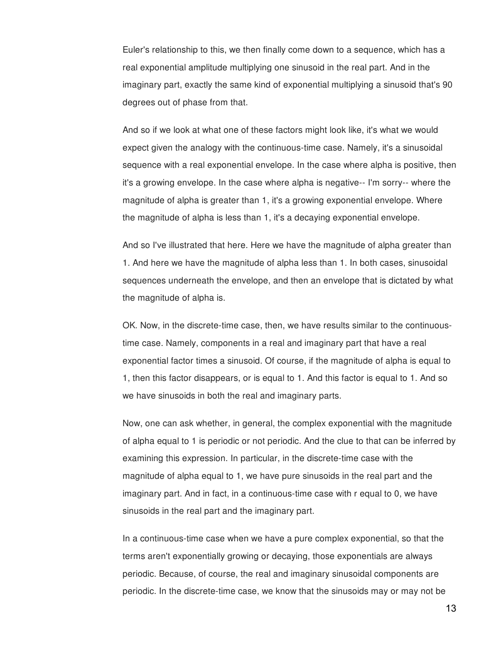Euler's relationship to this, we then finally come down to a sequence, which has a real exponential amplitude multiplying one sinusoid in the real part. And in the imaginary part, exactly the same kind of exponential multiplying a sinusoid that's 90 degrees out of phase from that.

And so if we look at what one of these factors might look like, it's what we would expect given the analogy with the continuous-time case. Namely, it's a sinusoidal sequence with a real exponential envelope. In the case where alpha is positive, then it's a growing envelope. In the case where alpha is negative-- I'm sorry-- where the magnitude of alpha is greater than 1, it's a growing exponential envelope. Where the magnitude of alpha is less than 1, it's a decaying exponential envelope.

And so I've illustrated that here. Here we have the magnitude of alpha greater than 1. And here we have the magnitude of alpha less than 1. In both cases, sinusoidal sequences underneath the envelope, and then an envelope that is dictated by what the magnitude of alpha is.

OK. Now, in the discrete-time case, then, we have results similar to the continuoustime case. Namely, components in a real and imaginary part that have a real exponential factor times a sinusoid. Of course, if the magnitude of alpha is equal to 1, then this factor disappears, or is equal to 1. And this factor is equal to 1. And so we have sinusoids in both the real and imaginary parts.

Now, one can ask whether, in general, the complex exponential with the magnitude of alpha equal to 1 is periodic or not periodic. And the clue to that can be inferred by examining this expression. In particular, in the discrete-time case with the magnitude of alpha equal to 1, we have pure sinusoids in the real part and the imaginary part. And in fact, in a continuous-time case with r equal to 0, we have sinusoids in the real part and the imaginary part.

In a continuous-time case when we have a pure complex exponential, so that the terms aren't exponentially growing or decaying, those exponentials are always periodic. Because, of course, the real and imaginary sinusoidal components are periodic. In the discrete-time case, we know that the sinusoids may or may not be